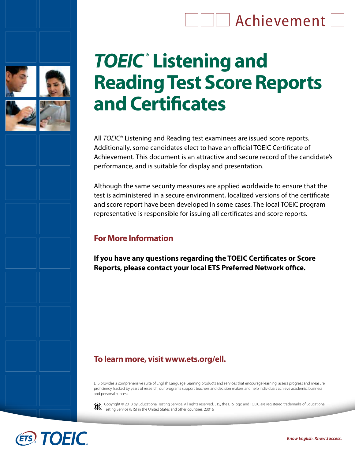## **THE Achievement**



# *TOEIC***® Listening and Reading Test Score Reports and Certificates**

All *TOEIC*® Listening and Reading test examinees are issued score reports. Additionally, some candidates elect to have an official TOEIC Certificate of Achievement. This document is an attractive and secure record of the candidate's performance, and is suitable for display and presentation.

Although the same security measures are applied worldwide to ensure that the test is administered in a secure environment, localized versions of the certificate and score report have been developed in some cases. The local TOEIC program representative is responsible for issuing all certificates and score reports.

#### **For More Information**

**If you have any questions regarding the TOEIC Certificates or Score Reports, please contact your local ETS Preferred Network office.** 

## **To learn more, visit www.ets.org/ell.**

ETS provides a comprehensive suite of English Language Learning products and services that encourage learning, assess progress and measure proficiency. Backed by years of research, our programs support teachers and decision makers and help individuals achieve academic, business and personal success.



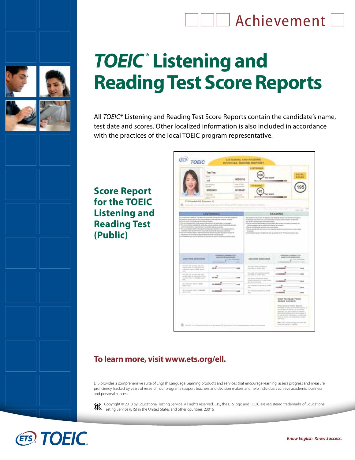## $\Box$  Achievement  $\Box$



# *TOEIC***® Listening and Reading Test Score Reports**

All *TOEIC*® Listening and Reading Test Score Reports contain the candidate's name, test date and scores. Other localized information is also included in accordance with the practices of the local TOEIC program representative.

**Score Report for the TOEIC Listening and Reading Test (Public)** 

|                                                                                                                                                                                                                   | <b>Test Test</b>                                                                                 |                                                                    | LISTERI                                                                                                                |                                            |                                                      |
|-------------------------------------------------------------------------------------------------------------------------------------------------------------------------------------------------------------------|--------------------------------------------------------------------------------------------------|--------------------------------------------------------------------|------------------------------------------------------------------------------------------------------------------------|--------------------------------------------|------------------------------------------------------|
|                                                                                                                                                                                                                   | $\sim$                                                                                           | 1870/01/10                                                         | 100<br><b><i><u><u>Hart source</u></u></i></b>                                                                         |                                            | <b>TUTAL</b><br>soons                                |
|                                                                                                                                                                                                                   | 128<br><b>THE REAL PROPERTY</b>                                                                  | line of their                                                      | ٠                                                                                                                      | 8409                                       |                                                      |
|                                                                                                                                                                                                                   | <b>Sunday</b><br>3010/04/01                                                                      | <b>CONTRACTOR</b><br>3012/04/01                                    | 有毒素白                                                                                                                   |                                            |                                                      |
|                                                                                                                                                                                                                   | Total Closer                                                                                     | week land.                                                         | <b>Suit leases</b>                                                                                                     |                                            |                                                      |
| ETS Routleis Rd. Printmee, NJ                                                                                                                                                                                     | <b><i>Information</i></b>                                                                        | <b>CONTRACTOR</b>                                                  |                                                                                                                        |                                            |                                                      |
| <b>C</b> <i>Seattle Life Life</i>                                                                                                                                                                                 |                                                                                                  |                                                                    | 11.8.4<br>a decomposition and company of the state                                                                     |                                            |                                                      |
|                                                                                                                                                                                                                   |                                                                                                  |                                                                    |                                                                                                                        | <b>STATISTICS</b>                          | $- - 10$<br><b>Scient View</b>                       |
| <b>LISTENING AND REAL PROPERTY</b><br>The loans was a store (III. To last other primaries (III my han-s to child be simplical                                                                                     |                                                                                                  |                                                                    | for experience is know TX, for terms to study edge TB stayles can all the starting to all                              | <b>BEADING</b>                             |                                                      |
|                                                                                                                                                                                                                   | . This can condition of date 1 - provided system data which fiscillation to close to come at the |                                                                    | In the declares entering to the "apply of the total control of the control of the Production by David Control of the A |                                            |                                                      |
| <b>DIRECTOR</b><br>ABS/TRS SIE&HIMAN<br>man.                                                                                                                                                                      |                                                                                                  | PERIODIC JURISIEN'S S.F.<br>ABS/FW4 MAARINER<br><b>County</b><br>٠ | <b>COLLANS PAPER</b><br>ABS/TIES MEASURED                                                                              | PENJONY SAMMAT 14<br>ADS/THE SEASONER<br>٠ | <b>Chicago McAnagement Company</b><br><b>Table 1</b> |
| The way allo provide and some-<br>publicated including and independents three<br>a source state a deal scale.                                                                                                     | <b>Kansassin</b><br><b>DOM</b>                                                                   | <b>STATE</b><br>$-144$                                             | <b>Measure</b> Motter<br>THE IPAID ARCHER SAINT OF<br>education in Arthur Ave.                                         | 16.0000                                    | <b>HER</b>                                           |
| $-$<br>The PR JPL country, let you.<br>and that there is no contribution of the fa-                                                                                                                               |                                                                                                  |                                                                    | They happen and current and second<br>institution a venue and                                                          | 15.300                                     | <b>ALC N</b>                                         |
| installo with 1 admits polici<br>$\sim$                                                                                                                                                                           | <b>JS.200</b>                                                                                    | <b>Sept.</b>                                                       | Like sigmond Hiltermorean at Julian<br>Grower winesin 4 a sign order<br>ext-hit-artisticites.                          | is more                                    | <b>Takes</b>                                         |
| beginning of the of the tast constant. It is access the surviv in the signed that<br>It has received up to at \$40 like to the plant of the Ad Thirden's Sweden too.<br>2014 Entered Holm 4, 646<br>special state | 0.500                                                                                            | $=$                                                                | Tar underland with law to selling<br>1000                                                                              | الساعد                                     | <b>JACK</b>                                          |
| Tel minima status a parenta<br><b>General Anti-</b>                                                                                                                                                               | $n =$                                                                                            | <b>HOTE</b>                                                        | Salvanova in a porrigo a compi-<br>$\sim$                                                                              | $\mathbf{u}$<br><b>Ch. Committee</b>       | <b>Janet</b>                                         |

#### **To learn more, visit www.ets.org/ell.**

ETS provides a comprehensive suite of English Language Learning products and services that encourage learning, assess progress and measure proficiency. Backed by years of research, our programs support teachers and decision makers and help individuals achieve academic, business and personal success.



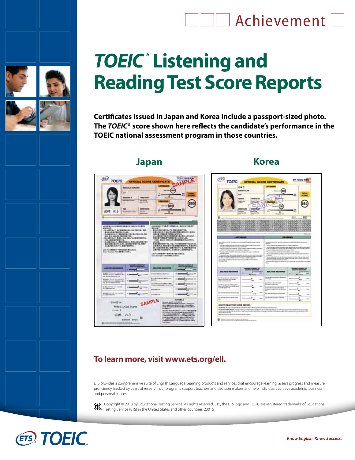## **LILI** Achievement L



# *TOEIC***® Listening and Reading Test Score Reports**

**Certificates issued in Japan and Korea include a passport-sized photo. The** *TOEIC***® score shown here reflects the candidate's performance in the TOEIC national assessment program in those countries.**

### **Japan Korea**





## **To learn more, visit www.ets.org/ell.**

ETS provides a comprehensive suite of English Language Learning products and services that encourage learning, assess progress and measure proficiency. Backed by years of research, our programs support teachers and decision makers and help individuals achieve academic, business and personal success.